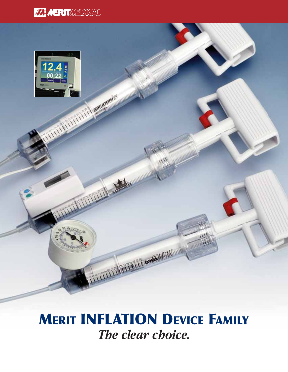



# **MERIT INFLATION DEVICE FAMILY** *The clear choice.*

THE LITTLE THE RIVER AND IN

THE PARTIES AND MONTHS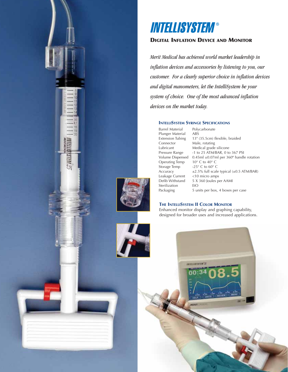

# **INTELLISYSTEM®**

## **DIGITAL INFLATION DEVICE AND MONITOR**

*Merit Medical has achieved world market leadership in inflation devices and accessories by listening to you, our customer. For a clearly superior choice in inflation devices and digital manometers, let the IntelliSystem be your system of choice. One of the most advanced inflation devices on the market today.*

#### **INTELLISYSTEM SYRINGE SPECIFICATIONS**

Barrel Material Polycarbonate<br>Plunger Material ABS Plunger Material Connector Male, rotating<br>
Lubricant Medical grade Operating Temp  $10^{\circ}$  C to  $40^{\circ}$  C<br>Storage Temp  $-25^{\circ}$  C to  $60^{\circ}$  C Storage Temp Leakage Current<br>Defib Withstand Sterilization EtO<br>Packaging 5 ur

Extension Tubing 13" (35.5cm) flexible, braided Lubricant Medical grade silicone<br>Pressure Range -1 to 25 ATM/BAR, 0 to -1 to 25 ATM/BAR, 0 to 367 PSI Volume Dispensed 0.45ml ±0.07ml per 360° handle rotation<br>Operating Temp 10° C to 40° C Accuracy  $\pm 2.5\%$  full scale typical ( $\pm 0.5$  ATM/BAR)<br>Leakage Current <10 micro amps 5 X 360 Joules per AAMI 5 units per box, 4 boxes per case

#### **THE INTELLISYSTEM II COLOR MONITOR**

INTELLIGTETIM"ET

Enhanced monitor display and graphing capability, designed for broader uses and increased applications.

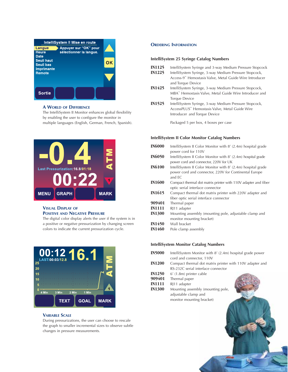| IntelliSystem II Mise en route |                         |
|--------------------------------|-------------------------|
| Appuyer sur "OK" pour          |                         |
|                                |                         |
|                                |                         |
|                                |                         |
|                                |                         |
|                                |                         |
|                                |                         |
|                                |                         |
|                                |                         |
|                                | sélectionner la langue. |

#### **A WORLD OF DIFFERENCE**

The IntelliSystem II Monitor enhances global flexibility by enabling the user to configure the monitor in multiple languages (English, German, French, Spanish).



### **VISUAL DISPLAY OF POSITIVE AND NEGATIVE PRESSURE**

The digital color display alerts the user if the system is in a positive or negative pressurization by changing screen colors to indicate the current pressurization cycle.



#### **VARIABLE SCALE**

During pressurizations, the user can choose to rescale the graph to smaller incremental sizes to observe subtle changes in pressure measurements.

#### **ORDERING INFORMATION**

#### **IntelliSystem 25 Syringe Catalog Numbers**

- **IN1125** IntelliSystem Syringe and 3-way Medium Pressure Stopcock
- IntelliSystem Syringe, 3-way Medium Pressure Stopcock, Access-9™ Hemostasis Valve, Metal Guide Wire Introducer and Torque Device
- **IN1425** IntelliSystem Syringe, 3-way Medium Pressure Stopcock, MBA™ Hemostasis Valve, Metal Guide Wire Introducer and Torque Device
- **IN1525** IntelliSystem Syringe, 3-way Medium Pressure Stopcock, AccessPLUS™ Hemostasis Valve, Metal Guide Wire Introducer and Torque Device

Packaged 5 per box, 4 boxes per case

#### **IntelliSystem II Color Monitor Catalog Numbers**

**IN6000** IntelliSystem II Color Monitor with 8' (2.4m) hospital grade power cord for 110V **IN6050** IntelliSystem II Color Monitor with 8' (2.4m) hospital grade power cord and connector, 220V for UK **IN6100** IntelliSystem II Color Monitor with 8' (2.4m) hospital grade power cord and connector, 220V for Continental Europe and EC **IN1600** Compact thermal dot matrix printer with 110V adapter and fiber optic serial interface connector **IN1615** Compact thermal dot matrix printer with 220V adapter and fiber optic serial interface connector **909401** Thermal paper **IN1111** RJ11 adapter **IN1300** Mounting assembly (mounting pole, adjustable clamp and monitor mounting bracket) **IN1450** Wall bracket **IN1460** Pole clamp assembly

#### **IntelliSystem Monitor Catalog Numbers**

- **IN5000** IntelliSystem Monitor with 8' (2.4m) hospital grade power cord and connector, 110V
- **IN1200** Compact thermal dot matrix printer with 110V adapter and RS-232C serial interface connector
- **IN1250** 6' (1.8m) printer cable<br>**909401** Thermal paper
- **909401** Thermal paper
- **IN1111** RJ11 adapter
- **IN1300** Mounting assembly (mounting pole, adjustable clamp and monitor mounting bracket)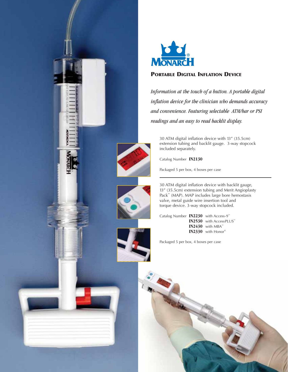



## **PORTABLE DIGITAL INFLATION DEVICE**

*Information at the touch of a button. A portable digital inflation device for the clinician who demands accuracy and convenience. Featuring selectable ATM/bar or PSI readings and an easy to read backlit display.* 

30 ATM digital inflation device with 13" (35.5cm) extension tubing and backlit gauge. 3-way stopcock included separately.

Catalog Number **IN2130**

Packaged 5 per box, 4 boxes per case



30 ATM digital inflation device with backlit gauge, 13" (35.5cm) extension tubing and Merit Angioplasty Pack™ (MAP). MAP includes large bore hemostasis valve, metal guide wire insertion tool and torque device. 3-way stopcock included.

Catalog Number **IN2230** with Access-9™ **IN2530** with AccessPLUS™ **IN2430** with MBA™ **IN2330** with Honor®

Packaged 5 per box, 4 boxes per case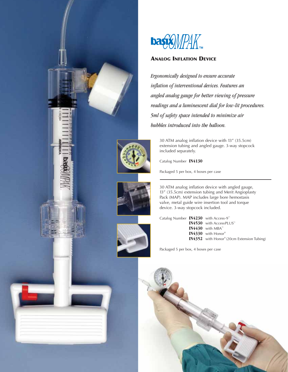



# **ANALOG INFLATION DEVICE**

*Ergonomically designed to ensure accurate inflation of interventional devices. Features an angled analog gauge for better viewing of pressure readings and a luminescent dial for low-lit procedures. 5ml of safety space intended to minimize air bubbles introduced into the balloon.* 

30 ATM analog inflation device with 13" (35.5cm) extension tubing and angled gauge. 3-way stopcock included separately.

Catalog Number **IN4130**

Packaged 5 per box, 4 boxes per case



30 ATM analog inflation device with angled gauge, 13" (35.5cm) extension tubing and Merit Angioplasty Pack (MAP). MAP includes large bore hemostasis valve, metal guide wire insertion tool and torque device. 3-way stopcock included.



Catalog Number **IN4230** with Access-9™ **IN4530** with AccessPLUS™ **IN4430** with MBA™ **IN4330** with Honor® **IN4352** with Honor® (20cm Extension Tubing)

Packaged 5 per box, 4 boxes per case